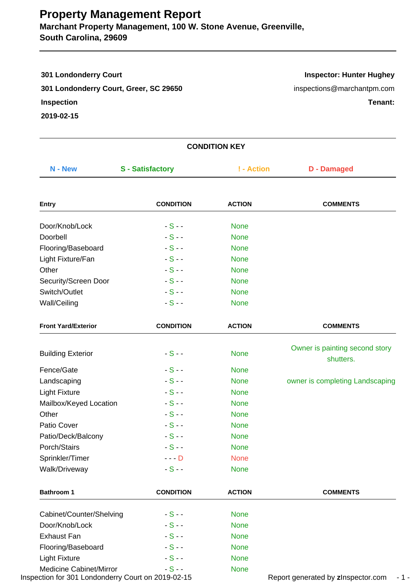# **Property Management Report**

**Marchant Property Management, 100 W. Stone Avenue, Greenville, South Carolina, 29609**

| <b>301 Londonderry Court</b>           | <b>Inspector: Hunter Hughey</b> |
|----------------------------------------|---------------------------------|
| 301 Londonderry Court, Greer, SC 29650 | inspections@marchantpm.com      |
| <b>Inspection</b>                      | Tenant:                         |
| 2019-02-15                             |                                 |
|                                        |                                 |

|                                                                                      |                         | <b>CONDITION KEY</b> |                                             |
|--------------------------------------------------------------------------------------|-------------------------|----------------------|---------------------------------------------|
| N - New                                                                              | <b>S</b> - Satisfactory | ! - Action           | <b>D</b> - Damaged                          |
| <b>Entry</b>                                                                         | <b>CONDITION</b>        | <b>ACTION</b>        | <b>COMMENTS</b>                             |
| Door/Knob/Lock                                                                       | $-S -$                  | <b>None</b>          |                                             |
| Doorbell                                                                             | $-S -$                  | <b>None</b>          |                                             |
| Flooring/Baseboard                                                                   | $-S -$                  | <b>None</b>          |                                             |
| Light Fixture/Fan                                                                    | $-S -$                  | <b>None</b>          |                                             |
| Other                                                                                | $-S -$                  | <b>None</b>          |                                             |
| Security/Screen Door                                                                 | $-S -$                  | <b>None</b>          |                                             |
| Switch/Outlet                                                                        | $-S -$                  | <b>None</b>          |                                             |
| Wall/Ceiling                                                                         | $-S -$                  | <b>None</b>          |                                             |
| <b>Front Yard/Exterior</b>                                                           | <b>CONDITION</b>        | <b>ACTION</b>        | <b>COMMENTS</b>                             |
| <b>Building Exterior</b>                                                             | $-S -$                  | <b>None</b>          | Owner is painting second story<br>shutters. |
| Fence/Gate                                                                           | $-S -$                  | <b>None</b>          |                                             |
| Landscaping                                                                          | $-S -$                  | <b>None</b>          | owner is completing Landscaping             |
| <b>Light Fixture</b>                                                                 | $-S -$                  | <b>None</b>          |                                             |
| Mailbox/Keyed Location                                                               | $-S -$                  | <b>None</b>          |                                             |
| Other                                                                                | $-S -$                  | <b>None</b>          |                                             |
| Patio Cover                                                                          | $-S -$                  | <b>None</b>          |                                             |
| Patio/Deck/Balcony                                                                   | $-S -$                  | <b>None</b>          |                                             |
| Porch/Stairs                                                                         | $-S -$                  | <b>None</b>          |                                             |
| Sprinkler/Timer                                                                      | $--$ D                  | <b>None</b>          |                                             |
| Walk/Driveway                                                                        | $-S -$                  | <b>None</b>          |                                             |
| <b>Bathroom 1</b>                                                                    | <b>CONDITION</b>        | <b>ACTION</b>        | <b>COMMENTS</b>                             |
| Cabinet/Counter/Shelving                                                             | $-S -$                  | <b>None</b>          |                                             |
| Door/Knob/Lock                                                                       | $-S -$                  | <b>None</b>          |                                             |
| <b>Exhaust Fan</b>                                                                   | $-S -$                  | <b>None</b>          |                                             |
| Flooring/Baseboard                                                                   | $-S -$                  | <b>None</b>          |                                             |
| <b>Light Fixture</b>                                                                 | $-S -$                  | <b>None</b>          |                                             |
| <b>Medicine Cabinet/Mirror</b><br>Inspection for 301 Londonderry Court on 2019-02-15 | $-S -$                  | <b>None</b>          | Report generated by zInspector.com          |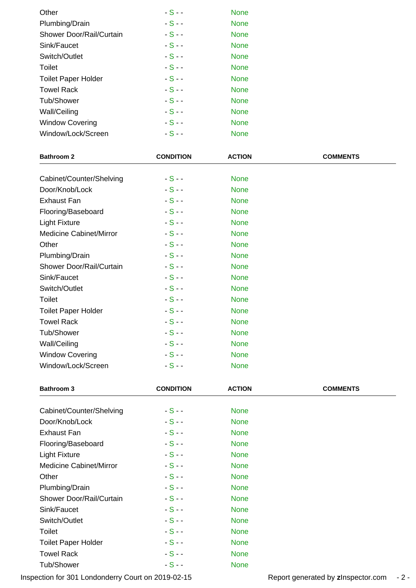| Other                      | $-S-$  | <b>None</b> |  |
|----------------------------|--------|-------------|--|
| Plumbing/Drain             | $-S -$ | <b>None</b> |  |
| Shower Door/Rail/Curtain   | $-S -$ | <b>None</b> |  |
| Sink/Faucet                | $-S -$ | <b>None</b> |  |
| Switch/Outlet              | $-S -$ | <b>None</b> |  |
| Toilet                     | $-S -$ | <b>None</b> |  |
| <b>Toilet Paper Holder</b> | $-S -$ | <b>None</b> |  |
| <b>Towel Rack</b>          | $-S -$ | <b>None</b> |  |
| Tub/Shower                 | $-S -$ | <b>None</b> |  |
| Wall/Ceiling               | $-S -$ | <b>None</b> |  |
| <b>Window Covering</b>     | $-S -$ | <b>None</b> |  |
| Window/Lock/Screen         | $-S -$ | <b>None</b> |  |

| <b>Bathroom 2</b>          | <b>CONDITION</b> | <b>ACTION</b> | <b>COMMENTS</b> |
|----------------------------|------------------|---------------|-----------------|
|                            |                  |               |                 |
| Cabinet/Counter/Shelving   | $-S -$           | <b>None</b>   |                 |
| Door/Knob/Lock             | $-S -$           | <b>None</b>   |                 |
| <b>Exhaust Fan</b>         | $-S -$           | <b>None</b>   |                 |
| Flooring/Baseboard         | $-S -$           | <b>None</b>   |                 |
| <b>Light Fixture</b>       | $-S -$           | <b>None</b>   |                 |
| Medicine Cabinet/Mirror    | $-S -$           | <b>None</b>   |                 |
| Other                      | $-S -$           | <b>None</b>   |                 |
| Plumbing/Drain             | $-S -$           | <b>None</b>   |                 |
| Shower Door/Rail/Curtain   | $-S -$           | <b>None</b>   |                 |
| Sink/Faucet                | $-S -$           | <b>None</b>   |                 |
| Switch/Outlet              | $-S -$           | <b>None</b>   |                 |
| Toilet                     | $-S -$           | <b>None</b>   |                 |
| <b>Toilet Paper Holder</b> | $-S -$           | <b>None</b>   |                 |
| <b>Towel Rack</b>          | $-S -$           | <b>None</b>   |                 |
| <b>Tub/Shower</b>          | $-S -$           | <b>None</b>   |                 |
| Wall/Ceiling               | $-S -$           | <b>None</b>   |                 |
| <b>Window Covering</b>     | $-S -$           | <b>None</b>   |                 |
| Window/Lock/Screen         | $-S-$            | <b>None</b>   |                 |

| <b>Bathroom 3</b>              | <b>CONDITION</b> | <b>ACTION</b> | <b>COMMENTS</b> |
|--------------------------------|------------------|---------------|-----------------|
| Cabinet/Counter/Shelving       | $-S -$           | <b>None</b>   |                 |
| Door/Knob/Lock                 | $-S -$           | <b>None</b>   |                 |
| Exhaust Fan                    | $-S -$           | <b>None</b>   |                 |
| Flooring/Baseboard             | $-S -$           | <b>None</b>   |                 |
| <b>Light Fixture</b>           | $-S -$           | <b>None</b>   |                 |
| <b>Medicine Cabinet/Mirror</b> | $-S -$           | <b>None</b>   |                 |
| Other                          | $-S -$           | <b>None</b>   |                 |
| Plumbing/Drain                 | $-S -$           | <b>None</b>   |                 |
| Shower Door/Rail/Curtain       | $-S -$           | <b>None</b>   |                 |
| Sink/Faucet                    | $-S -$           | <b>None</b>   |                 |
| Switch/Outlet                  | $-S -$           | <b>None</b>   |                 |
| <b>Toilet</b>                  | $-S -$           | <b>None</b>   |                 |
| <b>Toilet Paper Holder</b>     | $-S-$            | <b>None</b>   |                 |
| <b>Towel Rack</b>              | $-S -$           | <b>None</b>   |                 |
| Tub/Shower                     | $-S -$           | <b>None</b>   |                 |

Inspection for 301 Londonderry Court on 2019-02-15 Report generated by **z**Inspector.com - 2 -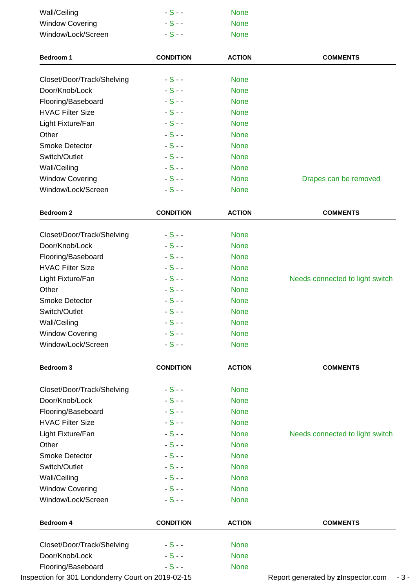| Wall/Ceiling               | $-S-$            | <b>None</b>   |                 |
|----------------------------|------------------|---------------|-----------------|
| <b>Window Covering</b>     | $-S -$           | <b>None</b>   |                 |
| Window/Lock/Screen         | $-S -$           | <b>None</b>   |                 |
| <b>Bedroom 1</b>           | <b>CONDITION</b> | <b>ACTION</b> | <b>COMMENTS</b> |
| Closet/Door/Track/Shelving | $-S -$           | <b>None</b>   |                 |
| Door/Knob/Lock             | $-S -$           | <b>None</b>   |                 |
| Flooring/Baseboard         | $-S -$           | <b>None</b>   |                 |
| <b>HVAC Filter Size</b>    | $-S -$           | <b>None</b>   |                 |
| Light Fixture/Fan          | $-S -$           | <b>None</b>   |                 |
| Other                      | $-S -$           | <b>None</b>   |                 |
| Smoke Detector             | $-S -$           | <b>None</b>   |                 |
| Switch/Outlet              | $-S -$           | <b>None</b>   |                 |

Wall/Ceiling **- S** - - None

Window/Lock/Screen - S - - None

| <b>Bedroom 2</b>           | <b>CONDITION</b> | <b>ACTION</b> | <b>COMMENTS</b>                 |
|----------------------------|------------------|---------------|---------------------------------|
| Closet/Door/Track/Shelving | $-S-$            | <b>None</b>   |                                 |
| Door/Knob/Lock             | $-S -$           | <b>None</b>   |                                 |
| Flooring/Baseboard         | $-S -$           | <b>None</b>   |                                 |
| <b>HVAC Filter Size</b>    | $-S -$           | <b>None</b>   |                                 |
| Light Fixture/Fan          | $-S -$           | <b>None</b>   | Needs connected to light switch |
| Other                      | $-S -$           | <b>None</b>   |                                 |
| <b>Smoke Detector</b>      | $-S -$           | <b>None</b>   |                                 |
| Switch/Outlet              | $-S -$           | <b>None</b>   |                                 |
| Wall/Ceiling               | $-S -$           | <b>None</b>   |                                 |
| <b>Window Covering</b>     | $-S -$           | <b>None</b>   |                                 |
| Window/Lock/Screen         | $-S-$            | <b>None</b>   |                                 |

Window Covering The S - - The S - None Drapes can be removed

| Bedroom 3                  | <b>CONDITION</b> | <b>ACTION</b> | <b>COMMENTS</b>                 |
|----------------------------|------------------|---------------|---------------------------------|
| Closet/Door/Track/Shelving | $-S-$            | <b>None</b>   |                                 |
| Door/Knob/Lock             | $-S -$           | <b>None</b>   |                                 |
| Flooring/Baseboard         | $-S -$           | <b>None</b>   |                                 |
| <b>HVAC Filter Size</b>    | $-S -$           | <b>None</b>   |                                 |
| Light Fixture/Fan          | $-S -$           | <b>None</b>   | Needs connected to light switch |
| Other                      | $-S -$           | <b>None</b>   |                                 |
| <b>Smoke Detector</b>      | $-S -$           | <b>None</b>   |                                 |
| Switch/Outlet              | $-S -$           | <b>None</b>   |                                 |
| Wall/Ceiling               | $-S -$           | <b>None</b>   |                                 |
| <b>Window Covering</b>     | $-S -$           | <b>None</b>   |                                 |
| Window/Lock/Screen         | $-S -$           | <b>None</b>   |                                 |

| <b>Bedroom 4</b>           | <b>CONDITION</b> | <b>ACTION</b> | <b>COMMENTS</b> |
|----------------------------|------------------|---------------|-----------------|
| Closet/Door/Track/Shelving | $-S -$           | <b>None</b>   |                 |
| Door/Knob/Lock             | $-S -$           | <b>None</b>   |                 |
| Flooring/Baseboard         | $-S -$           | <b>None</b>   |                 |

Inspection for 301 Londonderry Court on 2019-02-15 Report generated by **z**Inspector.com - 3 -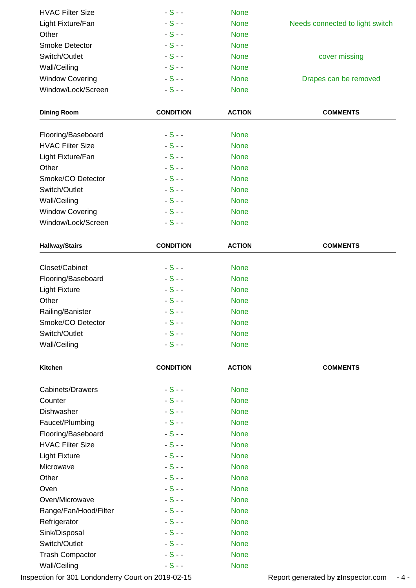| <b>HVAC Filter Size</b> | $-S -$ | <b>None</b> |                                 |
|-------------------------|--------|-------------|---------------------------------|
| Light Fixture/Fan       | $-S -$ | <b>None</b> | Needs connected to light switch |
| Other                   | $-S -$ | <b>None</b> |                                 |
| <b>Smoke Detector</b>   | $-S -$ | <b>None</b> |                                 |
| Switch/Outlet           | $-S -$ | <b>None</b> | cover missing                   |
| Wall/Ceiling            | $-S -$ | <b>None</b> |                                 |
| <b>Window Covering</b>  | $-S -$ | <b>None</b> | Drapes can be removed           |
| Window/Lock/Screen      | $-S -$ | <b>None</b> |                                 |

| <b>Dining Room</b>      | <b>CONDITION</b> | <b>ACTION</b> | <b>COMMENTS</b> |
|-------------------------|------------------|---------------|-----------------|
|                         | $-S -$           |               |                 |
| Flooring/Baseboard      |                  | <b>None</b>   |                 |
| <b>HVAC Filter Size</b> | $-S -$           | <b>None</b>   |                 |
| Light Fixture/Fan       | $-S -$           | <b>None</b>   |                 |
| Other                   | $-S -$           | <b>None</b>   |                 |
| Smoke/CO Detector       | $-S -$           | <b>None</b>   |                 |
| Switch/Outlet           | $-S -$           | <b>None</b>   |                 |
| Wall/Ceiling            | $-S -$           | <b>None</b>   |                 |
| <b>Window Covering</b>  | $-S -$           | <b>None</b>   |                 |
| Window/Lock/Screen      | $-S -$           | <b>None</b>   |                 |

| <b>Hallway/Stairs</b> | <b>CONDITION</b> | <b>ACTION</b> | <b>COMMENTS</b> |
|-----------------------|------------------|---------------|-----------------|
| Closet/Cabinet        | $-S-$            | <b>None</b>   |                 |
| Flooring/Baseboard    | $-S -$           | <b>None</b>   |                 |
| <b>Light Fixture</b>  | $-S -$           | <b>None</b>   |                 |
| Other                 | $-S -$           | <b>None</b>   |                 |
| Railing/Banister      | $-S -$           | <b>None</b>   |                 |
| Smoke/CO Detector     | $-S -$           | <b>None</b>   |                 |
| Switch/Outlet         | $-S -$           | <b>None</b>   |                 |
| Wall/Ceiling          | $-S -$           | <b>None</b>   |                 |

| Kitchen                 | <b>CONDITION</b> | <b>ACTION</b> | <b>COMMENTS</b> |
|-------------------------|------------------|---------------|-----------------|
| Cabinets/Drawers        | $-S -$           | <b>None</b>   |                 |
| Counter                 | $-S -$           | <b>None</b>   |                 |
| Dishwasher              | $-S -$           | <b>None</b>   |                 |
| Faucet/Plumbing         | $-S -$           | <b>None</b>   |                 |
| Flooring/Baseboard      | $-S -$           | <b>None</b>   |                 |
| <b>HVAC Filter Size</b> | $-S -$           | <b>None</b>   |                 |
| <b>Light Fixture</b>    | $-S -$           | <b>None</b>   |                 |
| Microwave               | $-S -$           | <b>None</b>   |                 |
| Other                   | $-S -$           | <b>None</b>   |                 |
| Oven                    | $-S -$           | <b>None</b>   |                 |
| Oven/Microwave          | $-S -$           | <b>None</b>   |                 |
| Range/Fan/Hood/Filter   | $-S - -$         | <b>None</b>   |                 |
| Refrigerator            | $-S -$           | <b>None</b>   |                 |
| Sink/Disposal           | $-S - -$         | <b>None</b>   |                 |
| Switch/Outlet           | $-S -$           | <b>None</b>   |                 |
| <b>Trash Compactor</b>  | $-S -$           | <b>None</b>   |                 |
| Wall/Ceiling            | $-S -$           | <b>None</b>   |                 |

Inspection for 301 Londonderry Court on 2019-02-15 Report generated by **z**Inspector.com - 4 -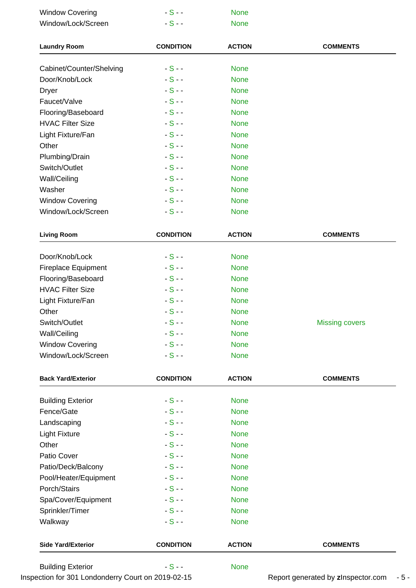| <b>Window Covering</b>   | $-S -$           | <b>None</b>   |                 |
|--------------------------|------------------|---------------|-----------------|
| Window/Lock/Screen       | $-S -$           | <b>None</b>   |                 |
| <b>Laundry Room</b>      | <b>CONDITION</b> | <b>ACTION</b> | <b>COMMENTS</b> |
| Cabinet/Counter/Shelving | $-S -$           | <b>None</b>   |                 |
| Door/Knob/Lock           | $-S -$           | <b>None</b>   |                 |
| <b>Dryer</b>             | $-S -$           | <b>None</b>   |                 |
| Faucet/Valve             | $-S -$           | <b>None</b>   |                 |
| Flooring/Baseboard       | $-S -$           | <b>None</b>   |                 |
| <b>HVAC Filter Size</b>  | $-S -$           | <b>None</b>   |                 |
| Light Fixture/Fan        | $-S -$           | <b>None</b>   |                 |
| Other                    | $-S -$           | <b>None</b>   |                 |
| Plumbing/Drain           | $-S -$           | <b>None</b>   |                 |
| Switch/Outlet            | $-S -$           | <b>None</b>   |                 |
| Wall/Ceiling             | $-S -$           | <b>None</b>   |                 |
| Washer                   | $-S -$           | <b>None</b>   |                 |
| <b>Window Covering</b>   | $-S -$           | <b>None</b>   |                 |
| Window/Lock/Screen       | $-S -$           | <b>None</b>   |                 |

| <b>Living Room</b>         | <b>CONDITION</b> | <b>ACTION</b> | <b>COMMENTS</b>       |
|----------------------------|------------------|---------------|-----------------------|
| Door/Knob/Lock             | $-S -$           | <b>None</b>   |                       |
| <b>Fireplace Equipment</b> | $-S -$           | <b>None</b>   |                       |
| Flooring/Baseboard         | $-S -$           | <b>None</b>   |                       |
| <b>HVAC Filter Size</b>    | $-S -$           | <b>None</b>   |                       |
| Light Fixture/Fan          | $-S -$           | <b>None</b>   |                       |
| Other                      | $-S -$           | <b>None</b>   |                       |
| Switch/Outlet              | $-S -$           | <b>None</b>   | <b>Missing covers</b> |
| Wall/Ceiling               | $-S -$           | <b>None</b>   |                       |
| <b>Window Covering</b>     | $-S -$           | <b>None</b>   |                       |
| Window/Lock/Screen         | $-S -$           | <b>None</b>   |                       |

| <b>Back Yard/Exterior</b> | <b>CONDITION</b> | <b>ACTION</b> | <b>COMMENTS</b> |
|---------------------------|------------------|---------------|-----------------|
| <b>Building Exterior</b>  | $-S -$           | <b>None</b>   |                 |
| Fence/Gate                | $-S -$           | <b>None</b>   |                 |
| Landscaping               | $-S -$           | <b>None</b>   |                 |
| <b>Light Fixture</b>      | $-S -$           | <b>None</b>   |                 |
| Other                     | $-S -$           | <b>None</b>   |                 |
| Patio Cover               | $-S -$           | <b>None</b>   |                 |
| Patio/Deck/Balcony        | $-S -$           | <b>None</b>   |                 |
| Pool/Heater/Equipment     | $-S -$           | <b>None</b>   |                 |
| Porch/Stairs              | $-S -$           | <b>None</b>   |                 |
| Spa/Cover/Equipment       | $-S -$           | <b>None</b>   |                 |
| Sprinkler/Timer           | $-S -$           | <b>None</b>   |                 |
| Walkway                   | $-S -$           | <b>None</b>   |                 |
| <b>Side Yard/Exterior</b> | <b>CONDITION</b> | <b>ACTION</b> | <b>COMMENTS</b> |
| <b>Building Exterior</b>  | $-S-$            | <b>None</b>   |                 |

Inspection for 301 Londonderry Court on 2019-02-15 Report generated by **z**Inspector.com - 5 -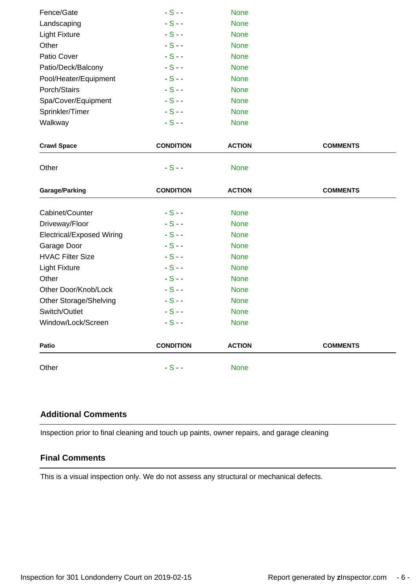| Fence/Gate            | $-S -$ | <b>None</b> |
|-----------------------|--------|-------------|
| Landscaping           | $-S-$  | <b>None</b> |
| <b>Light Fixture</b>  | $-S -$ | <b>None</b> |
| Other                 | $-S -$ | <b>None</b> |
| Patio Cover           | $-S -$ | <b>None</b> |
| Patio/Deck/Balcony    | $-S -$ | <b>None</b> |
| Pool/Heater/Equipment | $-S -$ | <b>None</b> |
| Porch/Stairs          | $-S -$ | <b>None</b> |
| Spa/Cover/Equipment   | $-S -$ | <b>None</b> |
| Sprinkler/Timer       | $-S -$ | <b>None</b> |
| Walkway               | $-S -$ | <b>None</b> |
|                       |        |             |

| <b>Crawl Space</b> | <b>CONDITION</b> | <b>ACTION</b> | <b>COMMENTS</b> |
|--------------------|------------------|---------------|-----------------|
| Other              | $-S -$           | <b>None</b>   |                 |

| Garage/Parking                   | <b>CONDITION</b> | <b>ACTION</b> | <b>COMMENTS</b> |
|----------------------------------|------------------|---------------|-----------------|
| Cabinet/Counter                  | $-S -$           | <b>None</b>   |                 |
| Driveway/Floor                   | $-S -$           | <b>None</b>   |                 |
| <b>Electrical/Exposed Wiring</b> | $-S -$           | <b>None</b>   |                 |
| Garage Door                      | $-S -$           | <b>None</b>   |                 |
| <b>HVAC Filter Size</b>          | $-S -$           | <b>None</b>   |                 |
| <b>Light Fixture</b>             | $-S -$           | <b>None</b>   |                 |
| Other                            | $-S -$           | <b>None</b>   |                 |
| Other Door/Knob/Lock             | $-S -$           | <b>None</b>   |                 |
| Other Storage/Shelving           | $-S -$           | <b>None</b>   |                 |
| Switch/Outlet                    | $-S -$           | <b>None</b>   |                 |
| Window/Lock/Screen               | $-S -$           | <b>None</b>   |                 |
| Patio                            | <b>CONDITION</b> | <b>ACTION</b> | <b>COMMENTS</b> |
| Other                            | $-S-$            | <b>None</b>   |                 |

## **Additional Comments**

Inspection prior to final cleaning and touch up paints, owner repairs, and garage cleaning

## **Final Comments**

This is a visual inspection only. We do not assess any structural or mechanical defects.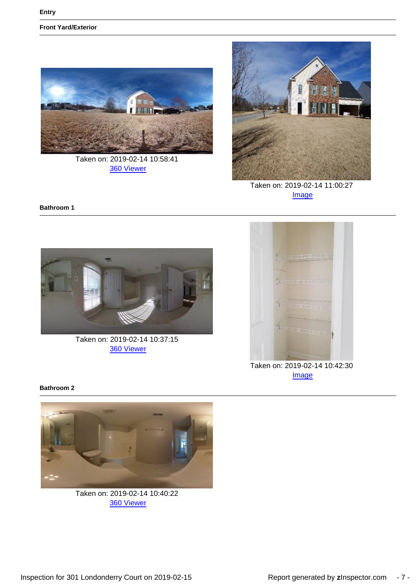**Front Yard/Exterior**



Taken on: 2019-02-14 10:58:41 [360 Viewer](https://portfolio.zinspector.com/report/360/?img=1550502778188688b29228483482289a29a7613aa0.JPEG&area=Front%20Yard/Exterior&areaDesc=&areaNum=1&from=pdf&date=2019-02-14%2010%3A58%3A41&activityName=Inspection&propertyAddress=301%20Londonderry%20Court%2C%20Greer%2C%20SC%2029650&propertyName=301%20Londonderry%20Court&additionalDays=None&includeAllActivities=False&activityPk=330028&userPk=8882)



Taken on: 2019-02-14 11:00:27 [Image](https://portfolio.zinspector.com/report/Images/?img=15505027820c858aacd2b44c019f171e981cf1da15.JPEG&area=Front%20Yard/Exterior&areaDesc=&areaNum=1&from=pdf&date=2019-02-14%2011%3A00%3A27&activityName=Inspection&propertyAddress=301%20Londonderry%20Court%2C%20Greer%2C%20SC%2029650&propertyName=301%20Londonderry%20Court&additionalDays=None&includeAllActivities=False&activityPk=330028&userPk=8882)

#### **Bathroom 1**



Taken on: 2019-02-14 10:37:15 [360 Viewer](https://portfolio.zinspector.com/report/360/?img=155026875300dba29c8a604b44be2e1efc6911ad8e.JPEG&area=Bathroom&areaDesc=&areaNum=1&from=pdf&date=2019-02-14%2010%3A37%3A15&activityName=Inspection&propertyAddress=301%20Londonderry%20Court%2C%20Greer%2C%20SC%2029650&propertyName=301%20Londonderry%20Court&additionalDays=None&includeAllActivities=False&activityPk=330028&userPk=8882)



Taken on: 2019-02-14 10:42:30 [Image](https://portfolio.zinspector.com/report/Images/?img=15505024962e2f0a8314ab4900a47461cdd21ba6ef.JPEG&area=Bathroom&areaDesc=&areaNum=1&from=pdf&date=2019-02-14%2010%3A42%3A30&activityName=Inspection&propertyAddress=301%20Londonderry%20Court%2C%20Greer%2C%20SC%2029650&propertyName=301%20Londonderry%20Court&additionalDays=None&includeAllActivities=False&activityPk=330028&userPk=8882)

**Bathroom 2**



Taken on: 2019-02-14 10:40:22 [360 Viewer](https://portfolio.zinspector.com/report/360/?img=15505024887e664f4a1fae4b5187594762da1903d8.JPEG&area=Bathroom&areaDesc=&areaNum=2&from=pdf&date=2019-02-14%2010%3A40%3A22&activityName=Inspection&propertyAddress=301%20Londonderry%20Court%2C%20Greer%2C%20SC%2029650&propertyName=301%20Londonderry%20Court&additionalDays=None&includeAllActivities=False&activityPk=330028&userPk=8882)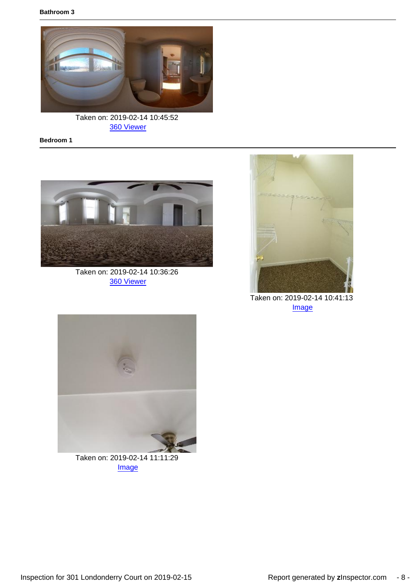

Taken on: 2019-02-14 10:45:52 [360 Viewer](https://portfolio.zinspector.com/report/360/?img=1550502519ffaead076bfa43dea352dad86bd1c4e6.JPEG&area=Bathroom&areaDesc=&areaNum=3&from=pdf&date=2019-02-14%2010%3A45%3A52&activityName=Inspection&propertyAddress=301%20Londonderry%20Court%2C%20Greer%2C%20SC%2029650&propertyName=301%20Londonderry%20Court&additionalDays=None&includeAllActivities=False&activityPk=330028&userPk=8882)

**Bedroom 1**



Taken on: 2019-02-14 10:36:26 [360 Viewer](https://portfolio.zinspector.com/report/360/?img=15502687438c88da44a6e34e2aadbfc68879e16b16.JPEG&area=Bedroom&areaDesc=&areaNum=1&from=pdf&date=2019-02-14%2010%3A36%3A26&activityName=Inspection&propertyAddress=301%20Londonderry%20Court%2C%20Greer%2C%20SC%2029650&propertyName=301%20Londonderry%20Court&additionalDays=None&includeAllActivities=False&activityPk=330028&userPk=8882)



Taken on: 2019-02-14 10:41:13 [Image](https://portfolio.zinspector.com/report/Images/?img=15505024929699dd55f87e41668657a9162cc89d91.JPEG&area=Bedroom&areaDesc=&areaNum=1&from=pdf&date=2019-02-14%2010%3A41%3A13&activityName=Inspection&propertyAddress=301%20Londonderry%20Court%2C%20Greer%2C%20SC%2029650&propertyName=301%20Londonderry%20Court&additionalDays=None&includeAllActivities=False&activityPk=330028&userPk=8882)



Taken on: 2019-02-14 11:11:29 [Image](https://portfolio.zinspector.com/report/Images/?img=1550502795bc9b2dda1d87432aba51232240a3b808.JPEG&area=Bedroom&areaDesc=&areaNum=1&from=pdf&date=2019-02-14%2011%3A11%3A29&activityName=Inspection&propertyAddress=301%20Londonderry%20Court%2C%20Greer%2C%20SC%2029650&propertyName=301%20Londonderry%20Court&additionalDays=None&includeAllActivities=False&activityPk=330028&userPk=8882)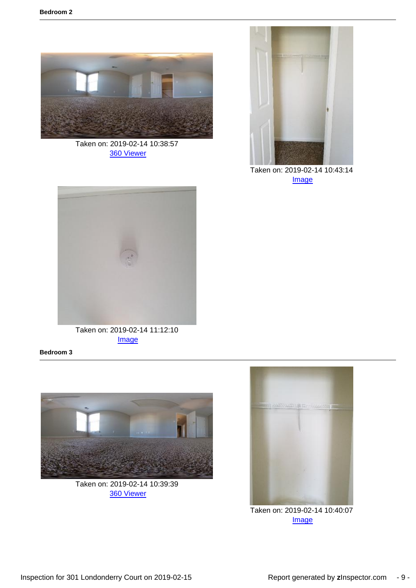

Taken on: 2019-02-14 10:38:57 [360 Viewer](https://portfolio.zinspector.com/report/360/?img=1550268776e6c5e672e1b4486e8b4895ea6c59f5a0.JPEG&area=Bedroom&areaDesc=&areaNum=2&from=pdf&date=2019-02-14%2010%3A38%3A57&activityName=Inspection&propertyAddress=301%20Londonderry%20Court%2C%20Greer%2C%20SC%2029650&propertyName=301%20Londonderry%20Court&additionalDays=None&includeAllActivities=False&activityPk=330028&userPk=8882)



Taken on: 2019-02-14 10:43:14 [Image](https://portfolio.zinspector.com/report/Images/?img=155050250651e920e42b7340bea735a8d25eda3e57.JPEG&area=Bedroom&areaDesc=&areaNum=2&from=pdf&date=2019-02-14%2010%3A43%3A14&activityName=Inspection&propertyAddress=301%20Londonderry%20Court%2C%20Greer%2C%20SC%2029650&propertyName=301%20Londonderry%20Court&additionalDays=None&includeAllActivities=False&activityPk=330028&userPk=8882)



Taken on: 2019-02-14 11:12:10 **[Image](https://portfolio.zinspector.com/report/Images/?img=15505028081ebde233aa4a407f9f6840896349d9c8.JPEG&area=Bedroom&areaDesc=&areaNum=2&from=pdf&date=2019-02-14%2011%3A12%3A10&activityName=Inspection&propertyAddress=301%20Londonderry%20Court%2C%20Greer%2C%20SC%2029650&propertyName=301%20Londonderry%20Court&additionalDays=None&includeAllActivities=False&activityPk=330028&userPk=8882)** 

**Bedroom 3**



Taken on: 2019-02-14 10:39:39 [360 Viewer](https://portfolio.zinspector.com/report/360/?img=15502705394a3934c204084ff5baa8a48a58cf65a5.JPEG&area=Bedroom&areaDesc=&areaNum=3&from=pdf&date=2019-02-14%2010%3A39%3A39&activityName=Inspection&propertyAddress=301%20Londonderry%20Court%2C%20Greer%2C%20SC%2029650&propertyName=301%20Londonderry%20Court&additionalDays=None&includeAllActivities=False&activityPk=330028&userPk=8882)



Taken on: 2019-02-14 10:40:07 **[Image](https://portfolio.zinspector.com/report/Images/?img=1550502480787f19e21cfb49d291eb51105ff93a31.JPEG&area=Bedroom&areaDesc=&areaNum=3&from=pdf&date=2019-02-14%2010%3A40%3A07&activityName=Inspection&propertyAddress=301%20Londonderry%20Court%2C%20Greer%2C%20SC%2029650&propertyName=301%20Londonderry%20Court&additionalDays=None&includeAllActivities=False&activityPk=330028&userPk=8882)**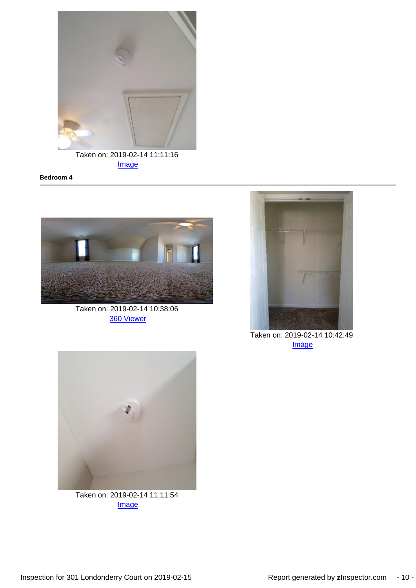

[Image](https://portfolio.zinspector.com/report/Images/?img=1550502792dfe3c03a33ec4c418292bf69837a6a98.JPEG&area=Bedroom&areaDesc=&areaNum=3&from=pdf&date=2019-02-14%2011%3A11%3A16&activityName=Inspection&propertyAddress=301%20Londonderry%20Court%2C%20Greer%2C%20SC%2029650&propertyName=301%20Londonderry%20Court&additionalDays=None&includeAllActivities=False&activityPk=330028&userPk=8882)

#### **Bedroom 4**



Taken on: 2019-02-14 10:38:06 [360 Viewer](https://portfolio.zinspector.com/report/360/?img=1550268765b21b9679bba74fb6adf41bd0e11cf263.JPEG&area=Bedroom&areaDesc=&areaNum=4&from=pdf&date=2019-02-14%2010%3A38%3A06&activityName=Inspection&propertyAddress=301%20Londonderry%20Court%2C%20Greer%2C%20SC%2029650&propertyName=301%20Londonderry%20Court&additionalDays=None&includeAllActivities=False&activityPk=330028&userPk=8882)



Taken on: 2019-02-14 10:42:49 [Image](https://portfolio.zinspector.com/report/Images/?img=1550502501fee0c20dff034a2aa9036839bfa40fa7.JPEG&area=Bedroom&areaDesc=&areaNum=4&from=pdf&date=2019-02-14%2010%3A42%3A49&activityName=Inspection&propertyAddress=301%20Londonderry%20Court%2C%20Greer%2C%20SC%2029650&propertyName=301%20Londonderry%20Court&additionalDays=None&includeAllActivities=False&activityPk=330028&userPk=8882)



Taken on: 2019-02-14 11:11:54 [Image](https://portfolio.zinspector.com/report/Images/?img=1550502803383e634f7280436f905e1edc5bd7dd0e.JPEG&area=Bedroom&areaDesc=&areaNum=4&from=pdf&date=2019-02-14%2011%3A11%3A54&activityName=Inspection&propertyAddress=301%20Londonderry%20Court%2C%20Greer%2C%20SC%2029650&propertyName=301%20Londonderry%20Court&additionalDays=None&includeAllActivities=False&activityPk=330028&userPk=8882)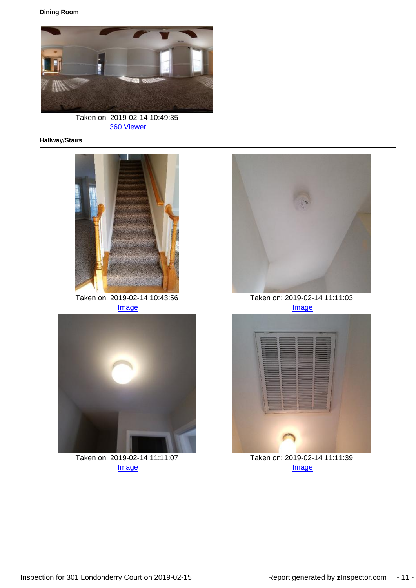

Taken on: 2019-02-14 10:49:35 [360 Viewer](https://portfolio.zinspector.com/report/360/?img=1550502572bdf8741ad3a24ac989324710f5064db5.JPEG&area=Dining%20Room&areaDesc=&areaNum=1&from=pdf&date=2019-02-14%2010%3A49%3A35&activityName=Inspection&propertyAddress=301%20Londonderry%20Court%2C%20Greer%2C%20SC%2029650&propertyName=301%20Londonderry%20Court&additionalDays=None&includeAllActivities=False&activityPk=330028&userPk=8882)

#### **Hallway/Stairs**



Taken on: 2019-02-14 10:43:56 [Image](https://portfolio.zinspector.com/report/Images/?img=1550502512eebcea9931c24e1eac6463d79532676e.JPEG&area=Hallway/Stairs&areaDesc=&areaNum=1&from=pdf&date=2019-02-14%2010%3A43%3A56&activityName=Inspection&propertyAddress=301%20Londonderry%20Court%2C%20Greer%2C%20SC%2029650&propertyName=301%20Londonderry%20Court&additionalDays=None&includeAllActivities=False&activityPk=330028&userPk=8882)



Taken on: 2019-02-14 11:11:07 [Image](https://portfolio.zinspector.com/report/Images/?img=1550502789874912bccdf44fe0af16eb1993147ce4.JPEG&area=Hallway/Stairs&areaDesc=&areaNum=1&from=pdf&date=2019-02-14%2011%3A11%3A07&activityName=Inspection&propertyAddress=301%20Londonderry%20Court%2C%20Greer%2C%20SC%2029650&propertyName=301%20Londonderry%20Court&additionalDays=None&includeAllActivities=False&activityPk=330028&userPk=8882)



Taken on: 2019-02-14 11:11:03 [Image](https://portfolio.zinspector.com/report/Images/?img=155050278691e5b55e125743b9a7078efb8628a045.JPEG&area=Hallway/Stairs&areaDesc=&areaNum=1&from=pdf&date=2019-02-14%2011%3A11%3A03&activityName=Inspection&propertyAddress=301%20Londonderry%20Court%2C%20Greer%2C%20SC%2029650&propertyName=301%20Londonderry%20Court&additionalDays=None&includeAllActivities=False&activityPk=330028&userPk=8882)



Taken on: 2019-02-14 11:11:39 [Image](https://portfolio.zinspector.com/report/Images/?img=1550502799a6538bf605eb4455ac671fee1ba05c2b.JPEG&area=Hallway/Stairs&areaDesc=&areaNum=1&from=pdf&date=2019-02-14%2011%3A11%3A39&activityName=Inspection&propertyAddress=301%20Londonderry%20Court%2C%20Greer%2C%20SC%2029650&propertyName=301%20Londonderry%20Court&additionalDays=None&includeAllActivities=False&activityPk=330028&userPk=8882)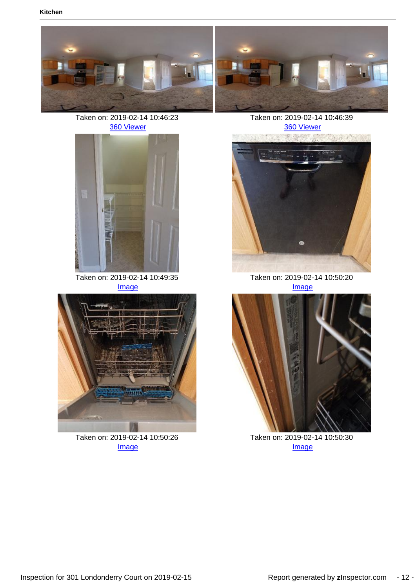





Taken on: 2019-02-14 10:46:39 [360 Viewer](https://portfolio.zinspector.com/report/360/?img=1550502539301277046c224eb098d28a159c383f3e.JPEG&area=Kitchen&areaDesc=&areaNum=1&from=pdf&date=2019-02-14%2010%3A46%3A39&activityName=Inspection&propertyAddress=301%20Londonderry%20Court%2C%20Greer%2C%20SC%2029650&propertyName=301%20Londonderry%20Court&additionalDays=None&includeAllActivities=False&activityPk=330028&userPk=8882)



Taken on: 2019-02-14 10:49:35 [Image](https://portfolio.zinspector.com/report/Images/?img=1550502577c0044cd40f5f40faae0c699c6c9950b3.JPEG&area=Kitchen&areaDesc=&areaNum=1&from=pdf&date=2019-02-14%2010%3A49%3A35&activityName=Inspection&propertyAddress=301%20Londonderry%20Court%2C%20Greer%2C%20SC%2029650&propertyName=301%20Londonderry%20Court&additionalDays=None&includeAllActivities=False&activityPk=330028&userPk=8882)



Taken on: 2019-02-14 10:50:26 [Image](https://portfolio.zinspector.com/report/Images/?img=1550502592f22e41d5449f46e9a8d66aa6ec6cf050.JPEG&area=Kitchen&areaDesc=&areaNum=1&from=pdf&date=2019-02-14%2010%3A50%3A26&activityName=Inspection&propertyAddress=301%20Londonderry%20Court%2C%20Greer%2C%20SC%2029650&propertyName=301%20Londonderry%20Court&additionalDays=None&includeAllActivities=False&activityPk=330028&userPk=8882)



Taken on: 2019-02-14 10:50:20 [Image](https://portfolio.zinspector.com/report/Images/?img=1550502587ea1a15a6a8874e858304ff2b6d217b5f.JPEG&area=Kitchen&areaDesc=&areaNum=1&from=pdf&date=2019-02-14%2010%3A50%3A20&activityName=Inspection&propertyAddress=301%20Londonderry%20Court%2C%20Greer%2C%20SC%2029650&propertyName=301%20Londonderry%20Court&additionalDays=None&includeAllActivities=False&activityPk=330028&userPk=8882)



Taken on: 2019-02-14 10:50:30 **[Image](https://portfolio.zinspector.com/report/Images/?img=15505025967a8863ed5a904c42a3902145c5b25d20.JPEG&area=Kitchen&areaDesc=&areaNum=1&from=pdf&date=2019-02-14%2010%3A50%3A30&activityName=Inspection&propertyAddress=301%20Londonderry%20Court%2C%20Greer%2C%20SC%2029650&propertyName=301%20Londonderry%20Court&additionalDays=None&includeAllActivities=False&activityPk=330028&userPk=8882)**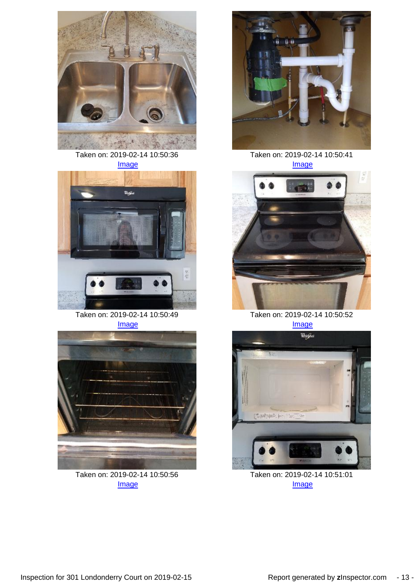

Taken on: 2019-02-14 10:50:36 [Image](https://portfolio.zinspector.com/report/Images/?img=15505026012bbadce69d2a46ef84c41d60aa60fd75.JPEG&area=Kitchen&areaDesc=&areaNum=1&from=pdf&date=2019-02-14%2010%3A50%3A36&activityName=Inspection&propertyAddress=301%20Londonderry%20Court%2C%20Greer%2C%20SC%2029650&propertyName=301%20Londonderry%20Court&additionalDays=None&includeAllActivities=False&activityPk=330028&userPk=8882)



Taken on: 2019-02-14 10:50:49 [Image](https://portfolio.zinspector.com/report/Images/?img=1550502612ee78ac0a11c74fb3b7e23b5b5c537529.JPEG&area=Kitchen&areaDesc=&areaNum=1&from=pdf&date=2019-02-14%2010%3A50%3A49&activityName=Inspection&propertyAddress=301%20Londonderry%20Court%2C%20Greer%2C%20SC%2029650&propertyName=301%20Londonderry%20Court&additionalDays=None&includeAllActivities=False&activityPk=330028&userPk=8882)



Taken on: 2019-02-14 10:50:56 [Image](https://portfolio.zinspector.com/report/Images/?img=155050262447e9bc7810424350a8a50a2376a03410.JPEG&area=Kitchen&areaDesc=&areaNum=1&from=pdf&date=2019-02-14%2010%3A50%3A56&activityName=Inspection&propertyAddress=301%20Londonderry%20Court%2C%20Greer%2C%20SC%2029650&propertyName=301%20Londonderry%20Court&additionalDays=None&includeAllActivities=False&activityPk=330028&userPk=8882)



Taken on: 2019-02-14 10:50:41 [Image](https://portfolio.zinspector.com/report/Images/?img=15505026063b7919f376734120954f645301214054.JPEG&area=Kitchen&areaDesc=&areaNum=1&from=pdf&date=2019-02-14%2010%3A50%3A41&activityName=Inspection&propertyAddress=301%20Londonderry%20Court%2C%20Greer%2C%20SC%2029650&propertyName=301%20Londonderry%20Court&additionalDays=None&includeAllActivities=False&activityPk=330028&userPk=8882)



Taken on: 2019-02-14 10:50:52 [Image](https://portfolio.zinspector.com/report/Images/?img=1550502617a6fd96ab6d324a9cbd16bd57395171c2.JPEG&area=Kitchen&areaDesc=&areaNum=1&from=pdf&date=2019-02-14%2010%3A50%3A52&activityName=Inspection&propertyAddress=301%20Londonderry%20Court%2C%20Greer%2C%20SC%2029650&propertyName=301%20Londonderry%20Court&additionalDays=None&includeAllActivities=False&activityPk=330028&userPk=8882)



Taken on: 2019-02-14 10:51:01 [Image](https://portfolio.zinspector.com/report/Images/?img=1550502630ba39aefe65544562b60822d5a707cf81.JPEG&area=Kitchen&areaDesc=&areaNum=1&from=pdf&date=2019-02-14%2010%3A51%3A01&activityName=Inspection&propertyAddress=301%20Londonderry%20Court%2C%20Greer%2C%20SC%2029650&propertyName=301%20Londonderry%20Court&additionalDays=None&includeAllActivities=False&activityPk=330028&userPk=8882)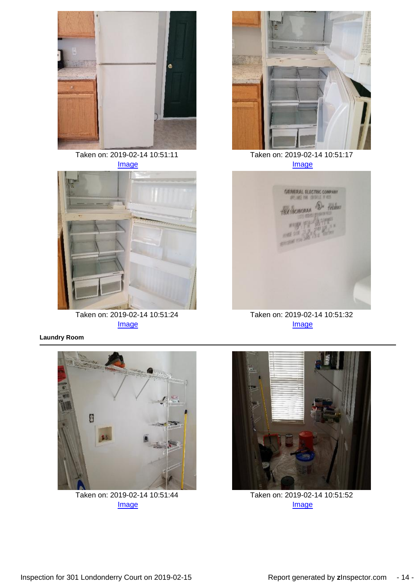

Taken on: 2019-02-14 10:51:11 [Image](https://portfolio.zinspector.com/report/Images/?img=1550502634d27e3d296fef483c9afabe27fc1a4111.JPEG&area=Kitchen&areaDesc=&areaNum=1&from=pdf&date=2019-02-14%2010%3A51%3A11&activityName=Inspection&propertyAddress=301%20Londonderry%20Court%2C%20Greer%2C%20SC%2029650&propertyName=301%20Londonderry%20Court&additionalDays=None&includeAllActivities=False&activityPk=330028&userPk=8882)



Taken on: 2019-02-14 10:51:24 **[Image](https://portfolio.zinspector.com/report/Images/?img=15505026457c2d5167ecfa43ab86b8289e071cc8bc.JPEG&area=Kitchen&areaDesc=&areaNum=1&from=pdf&date=2019-02-14%2010%3A51%3A24&activityName=Inspection&propertyAddress=301%20Londonderry%20Court%2C%20Greer%2C%20SC%2029650&propertyName=301%20Londonderry%20Court&additionalDays=None&includeAllActivities=False&activityPk=330028&userPk=8882)** 

**Laundry Room**



Taken on: 2019-02-14 10:51:17 [Image](https://portfolio.zinspector.com/report/Images/?img=1550502639897a6137db244208bb3ac11454f96b5e.JPEG&area=Kitchen&areaDesc=&areaNum=1&from=pdf&date=2019-02-14%2010%3A51%3A17&activityName=Inspection&propertyAddress=301%20Londonderry%20Court%2C%20Greer%2C%20SC%2029650&propertyName=301%20Londonderry%20Court&additionalDays=None&includeAllActivities=False&activityPk=330028&userPk=8882)



Taken on: 2019-02-14 10:51:32 [Image](https://portfolio.zinspector.com/report/Images/?img=155050264871999829bab24b5294bf06a6138449db.JPEG&area=Kitchen&areaDesc=&areaNum=1&from=pdf&date=2019-02-14%2010%3A51%3A32&activityName=Inspection&propertyAddress=301%20Londonderry%20Court%2C%20Greer%2C%20SC%2029650&propertyName=301%20Londonderry%20Court&additionalDays=None&includeAllActivities=False&activityPk=330028&userPk=8882)



Taken on: 2019-02-14 10:51:44 [Image](https://portfolio.zinspector.com/report/Images/?img=15505026535952071392fc4b1790ad515aae5843e5.JPEG&area=Laundry%20Room&areaDesc=&areaNum=1&from=pdf&date=2019-02-14%2010%3A51%3A44&activityName=Inspection&propertyAddress=301%20Londonderry%20Court%2C%20Greer%2C%20SC%2029650&propertyName=301%20Londonderry%20Court&additionalDays=None&includeAllActivities=False&activityPk=330028&userPk=8882)



Taken on: 2019-02-14 10:51:52 [Image](https://portfolio.zinspector.com/report/Images/?img=1550502659b7b9cd69aed14f3388e6516d308deac3.JPEG&area=Laundry%20Room&areaDesc=&areaNum=1&from=pdf&date=2019-02-14%2010%3A51%3A52&activityName=Inspection&propertyAddress=301%20Londonderry%20Court%2C%20Greer%2C%20SC%2029650&propertyName=301%20Londonderry%20Court&additionalDays=None&includeAllActivities=False&activityPk=330028&userPk=8882)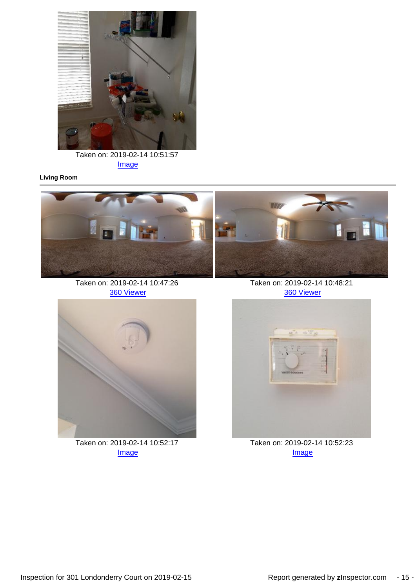

Taken on: 2019-02-14 10:51:57 [Image](https://portfolio.zinspector.com/report/Images/?img=1550502663975cfa2851ce4ef292811970a86a89bc.JPEG&area=Laundry%20Room&areaDesc=&areaNum=1&from=pdf&date=2019-02-14%2010%3A51%3A57&activityName=Inspection&propertyAddress=301%20Londonderry%20Court%2C%20Greer%2C%20SC%2029650&propertyName=301%20Londonderry%20Court&additionalDays=None&includeAllActivities=False&activityPk=330028&userPk=8882)

### **Living Room**



Taken on: 2019-02-14 10:47:26 [360 Viewer](https://portfolio.zinspector.com/report/360/?img=1550502552fb285abea1124402858ef55d70fee959.JPEG&area=Living%20Room&areaDesc=&areaNum=1&from=pdf&date=2019-02-14%2010%3A47%3A26&activityName=Inspection&propertyAddress=301%20Londonderry%20Court%2C%20Greer%2C%20SC%2029650&propertyName=301%20Londonderry%20Court&additionalDays=None&includeAllActivities=False&activityPk=330028&userPk=8882)



Taken on: 2019-02-14 10:52:17 [Image](https://portfolio.zinspector.com/report/Images/?img=1550502667ec5169377bda45bb942ff89e95827233.JPEG&area=Living%20Room&areaDesc=&areaNum=1&from=pdf&date=2019-02-14%2010%3A52%3A17&activityName=Inspection&propertyAddress=301%20Londonderry%20Court%2C%20Greer%2C%20SC%2029650&propertyName=301%20Londonderry%20Court&additionalDays=None&includeAllActivities=False&activityPk=330028&userPk=8882)

Taken on: 2019-02-14 10:48:21 [360 Viewer](https://portfolio.zinspector.com/report/360/?img=155050256247fae20ec77d4b7b8c4956d5fddc4567.JPEG&area=Living%20Room&areaDesc=&areaNum=1&from=pdf&date=2019-02-14%2010%3A48%3A21&activityName=Inspection&propertyAddress=301%20Londonderry%20Court%2C%20Greer%2C%20SC%2029650&propertyName=301%20Londonderry%20Court&additionalDays=None&includeAllActivities=False&activityPk=330028&userPk=8882)



Taken on: 2019-02-14 10:52:23 **[Image](https://portfolio.zinspector.com/report/Images/?img=1550502672ae8cadb5dcdc4cb89e98c91597a90206.JPEG&area=Living%20Room&areaDesc=&areaNum=1&from=pdf&date=2019-02-14%2010%3A52%3A23&activityName=Inspection&propertyAddress=301%20Londonderry%20Court%2C%20Greer%2C%20SC%2029650&propertyName=301%20Londonderry%20Court&additionalDays=None&includeAllActivities=False&activityPk=330028&userPk=8882)**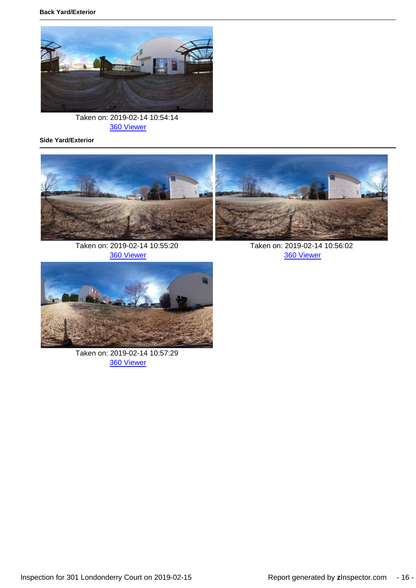

Taken on: 2019-02-14 10:54:14 [360 Viewer](https://portfolio.zinspector.com/report/360/?img=1550502687b2d768eb9fcd49e5b19a910e9c2ad90b.JPEG&area=Back%20Yard/Exterior&areaDesc=&areaNum=1&from=pdf&date=2019-02-14%2010%3A54%3A14&activityName=Inspection&propertyAddress=301%20Londonderry%20Court%2C%20Greer%2C%20SC%2029650&propertyName=301%20Londonderry%20Court&additionalDays=None&includeAllActivities=False&activityPk=330028&userPk=8882)

**Side Yard/Exterior**



Taken on: 2019-02-14 10:55:20 [360 Viewer](https://portfolio.zinspector.com/report/360/?img=1550502712d5e93a74850e4b9da8e224af1e7609a7.JPEG&area=Side%20Yard/Exterior&areaDesc=&areaNum=1&from=pdf&date=2019-02-14%2010%3A55%3A20&activityName=Inspection&propertyAddress=301%20Londonderry%20Court%2C%20Greer%2C%20SC%2029650&propertyName=301%20Londonderry%20Court&additionalDays=None&includeAllActivities=False&activityPk=330028&userPk=8882)

Taken on: 2019-02-14 10:56:02 [360 Viewer](https://portfolio.zinspector.com/report/360/?img=1550502737c10617990c614c79a4ee6bf53c478c91.JPEG&area=Side%20Yard/Exterior&areaDesc=&areaNum=1&from=pdf&date=2019-02-14%2010%3A56%3A02&activityName=Inspection&propertyAddress=301%20Londonderry%20Court%2C%20Greer%2C%20SC%2029650&propertyName=301%20Londonderry%20Court&additionalDays=None&includeAllActivities=False&activityPk=330028&userPk=8882)



Taken on: 2019-02-14 10:57:29 [360 Viewer](https://portfolio.zinspector.com/report/360/?img=15505027682fade1c8577142108d685b1892a1848d.JPEG&area=Side%20Yard/Exterior&areaDesc=&areaNum=1&from=pdf&date=2019-02-14%2010%3A57%3A29&activityName=Inspection&propertyAddress=301%20Londonderry%20Court%2C%20Greer%2C%20SC%2029650&propertyName=301%20Londonderry%20Court&additionalDays=None&includeAllActivities=False&activityPk=330028&userPk=8882)